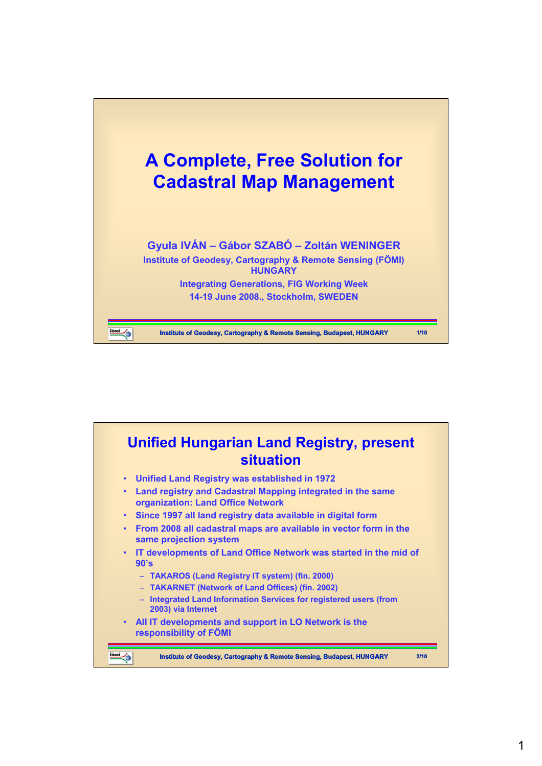

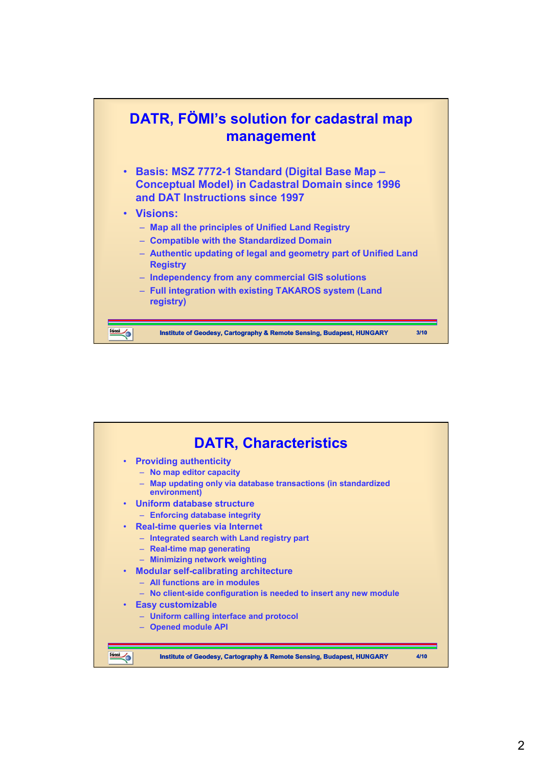

| <b>DATR, Characteristics</b>                                                              |                                                                                                               |
|-------------------------------------------------------------------------------------------|---------------------------------------------------------------------------------------------------------------|
| • Providing authenticity<br>- No map editor capacity                                      | - Map updating only via database transactions (in standardized                                                |
| environment)<br>Uniform database structure<br>$\bullet$<br>- Enforcing database integrity |                                                                                                               |
| Real-time queries via Internet<br>$\bullet$<br>- Real-time map generating                 | - Integrated search with Land registry part                                                                   |
| - Minimizing network weighting<br>- All functions are in modules                          | • Modular self-calibrating architecture                                                                       |
| <b>Easy customizable</b><br>$\bullet$                                                     | - No client-side configuration is needed to insert any new module<br>- Uniform calling interface and protocol |
| - Opened module API                                                                       |                                                                                                               |
|                                                                                           | Institute of Geodesy, Cartography & Remote Sensing, Budapest, HUNGARY<br>4/1 N                                |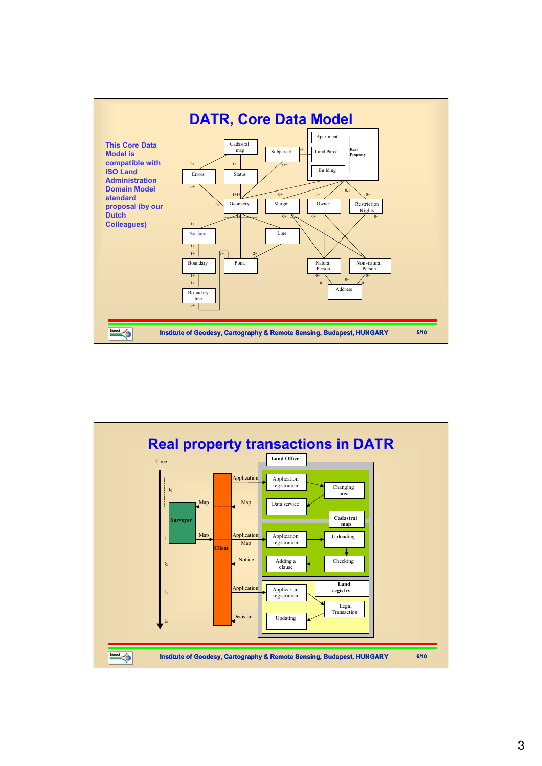

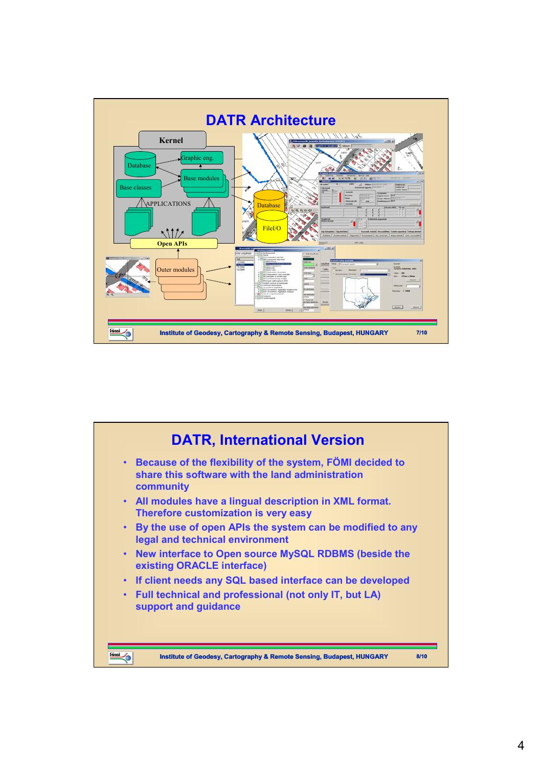